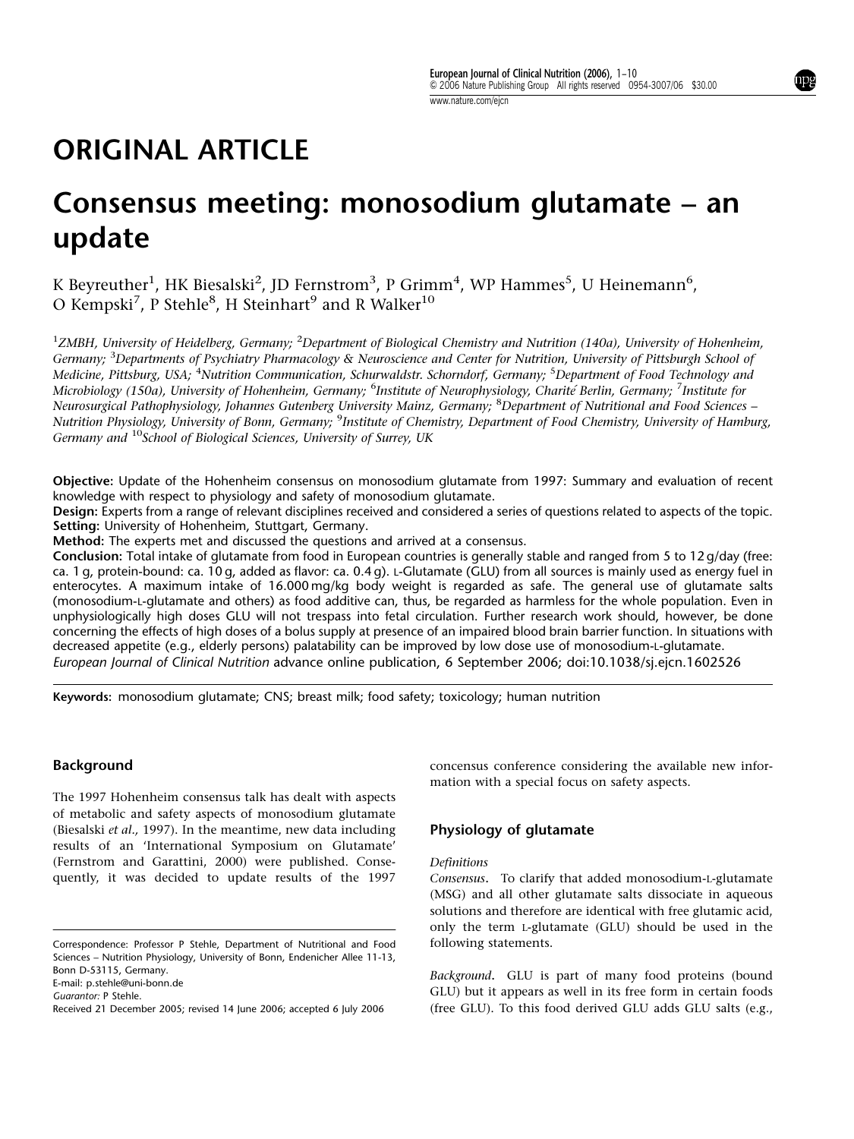# ORIGINAL ARTICLE

# Consensus meeting: monosodium glutamate – an update

K Beyreuther $^1$ , HK Biesalski $^2$ , JD Fernstrom $^3$ , P Grimm $^4$ , WP Hammes $^5$ , U Heinemann $^6$ , O Kempski $^7$ , P Stehle $^8$ , H Steinhart $^9$  and R Walker $^{10}$ 

<sup>1</sup>ZMBH, University of Heidelberg, Germany; <sup>2</sup>Department of Biological Chemistry and Nutrition (140a), University of Hohenheim, Germany; <sup>3</sup>Departments of Psychiatry Pharmacology & Neuroscience and Center for Nutrition, University of Pittsburgh School of Medicine, Pittsburg, USA; <sup>4</sup>Nutrition Communication, Schurwaldstr. Schorndorf, Germany; <sup>5</sup>Department of Food Technology and Microbiology (150a), University of Hohenheim, Germany; <sup>6</sup>Institute of Neurophysiology, Charité Berlin, Germany; <sup>7</sup>Institute for Neurosurgical Pathophysiology, Johannes Gutenberg University Mainz, Germany; <sup>8</sup>Department of Nutritional and Food Sciences – Nutrition Physiology, University of Bonn, Germany; <sup>9</sup>Institute of Chemistry, Department of Food Chemistry, University of Hamburg, Germany and <sup>10</sup>School of Biological Sciences, University of Surrey, UK

Objective: Update of the Hohenheim consensus on monosodium glutamate from 1997: Summary and evaluation of recent knowledge with respect to physiology and safety of monosodium glutamate.

Design: Experts from a range of relevant disciplines received and considered a series of questions related to aspects of the topic. Setting: University of Hohenheim, Stuttgart, Germany.

Method: The experts met and discussed the questions and arrived at a consensus.

Conclusion: Total intake of glutamate from food in European countries is generally stable and ranged from 5 to 12 g/day (free: ca. 1 g, protein-bound: ca. 10 g, added as flavor: ca. 0.4 g). L-Glutamate (GLU) from all sources is mainly used as energy fuel in enterocytes. A maximum intake of 16.000 mg/kg body weight is regarded as safe. The general use of glutamate salts (monosodium-L-glutamate and others) as food additive can, thus, be regarded as harmless for the whole population. Even in unphysiologically high doses GLU will not trespass into fetal circulation. Further research work should, however, be done concerning the effects of high doses of a bolus supply at presence of an impaired blood brain barrier function. In situations with decreased appetite (e.g., elderly persons) palatability can be improved by low dose use of monosodium-L-glutamate. European Journal of Clinical Nutrition advance online publication, 6 September 2006; doi:10.1038/sj.ejcn.1602526

Keywords: monosodium glutamate; CNS; breast milk; food safety; toxicology; human nutrition

#### Background

The 1997 Hohenheim consensus talk has dealt with aspects of metabolic and safety aspects of monosodium glutamate (Biesalski et al., 1997). In the meantime, new data including results of an 'International Symposium on Glutamate' (Fernstrom and Garattini, 2000) were published. Consequently, it was decided to update results of the 1997

E-mail: p.stehle@uni-bonn.de

concensus conference considering the available new information with a special focus on safety aspects.

## Physiology of glutamate

#### Definitions

Consensus. To clarify that added monosodium-L-glutamate (MSG) and all other glutamate salts dissociate in aqueous solutions and therefore are identical with free glutamic acid, only the term L-glutamate (GLU) should be used in the following statements.

Background. GLU is part of many food proteins (bound GLU) but it appears as well in its free form in certain foods Received 21 December 2005; revised 14 June 2006; accepted 6 July 2006 (free GLU). To this food derived GLU adds GLU salts (e.g.,

Correspondence: Professor P Stehle, Department of Nutritional and Food Sciences – Nutrition Physiology, University of Bonn, Endenicher Allee 11-13, Bonn D-53115, Germany.

Guarantor: P Stehle.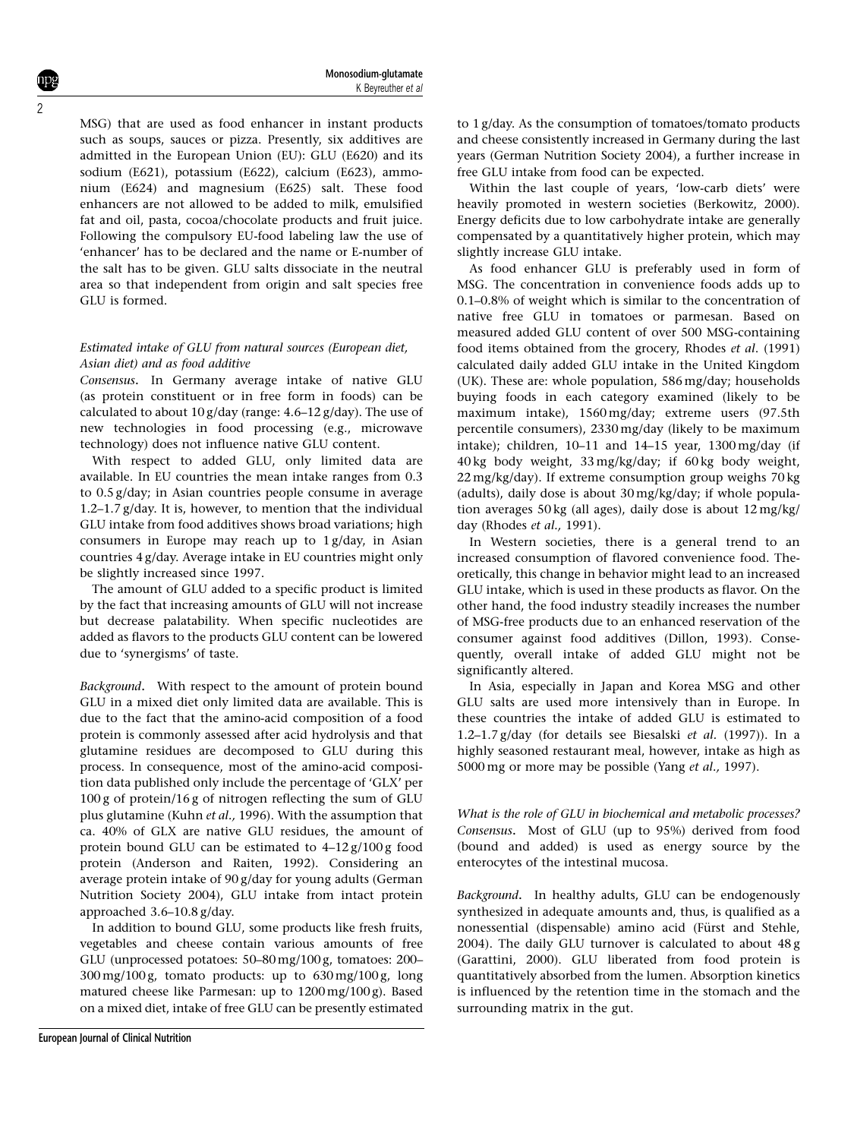MSG) that are used as food enhancer in instant products such as soups, sauces or pizza. Presently, six additives are admitted in the European Union (EU): GLU (E620) and its sodium (E621), potassium (E622), calcium (E623), ammonium (E624) and magnesium (E625) salt. These food enhancers are not allowed to be added to milk, emulsified fat and oil, pasta, cocoa/chocolate products and fruit juice. Following the compulsory EU-food labeling law the use of 'enhancer' has to be declared and the name or E-number of the salt has to be given. GLU salts dissociate in the neutral area so that independent from origin and salt species free GLU is formed.

## Estimated intake of GLU from natural sources (European diet, Asian diet) and as food additive

Consensus. In Germany average intake of native GLU (as protein constituent or in free form in foods) can be calculated to about 10 g/day (range: 4.6–12 g/day). The use of new technologies in food processing (e.g., microwave technology) does not influence native GLU content.

With respect to added GLU, only limited data are available. In EU countries the mean intake ranges from 0.3 to 0.5 g/day; in Asian countries people consume in average 1.2–1.7 g/day. It is, however, to mention that the individual GLU intake from food additives shows broad variations; high consumers in Europe may reach up to 1 g/day, in Asian countries 4 g/day. Average intake in EU countries might only be slightly increased since 1997.

The amount of GLU added to a specific product is limited by the fact that increasing amounts of GLU will not increase but decrease palatability. When specific nucleotides are added as flavors to the products GLU content can be lowered due to 'synergisms' of taste.

Background. With respect to the amount of protein bound GLU in a mixed diet only limited data are available. This is due to the fact that the amino-acid composition of a food protein is commonly assessed after acid hydrolysis and that glutamine residues are decomposed to GLU during this process. In consequence, most of the amino-acid composition data published only include the percentage of 'GLX' per 100 g of protein/16 g of nitrogen reflecting the sum of GLU plus glutamine (Kuhn et al., 1996). With the assumption that ca. 40% of GLX are native GLU residues, the amount of protein bound GLU can be estimated to 4–12 g/100 g food protein (Anderson and Raiten, 1992). Considering an average protein intake of 90 g/day for young adults (German Nutrition Society 2004), GLU intake from intact protein approached 3.6–10.8 g/day.

In addition to bound GLU, some products like fresh fruits, vegetables and cheese contain various amounts of free GLU (unprocessed potatoes: 50–80 mg/100 g, tomatoes: 200–  $300 \,\text{mg}/100 \,\text{g}$ , tomato products: up to  $630 \,\text{mg}/100 \,\text{g}$ , long matured cheese like Parmesan: up to 1200 mg/100 g). Based on a mixed diet, intake of free GLU can be presently estimated

to 1 g/day. As the consumption of tomatoes/tomato products and cheese consistently increased in Germany during the last years (German Nutrition Society 2004), a further increase in free GLU intake from food can be expected.

Within the last couple of years, 'low-carb diets' were heavily promoted in western societies (Berkowitz, 2000). Energy deficits due to low carbohydrate intake are generally compensated by a quantitatively higher protein, which may slightly increase GLU intake.

As food enhancer GLU is preferably used in form of MSG. The concentration in convenience foods adds up to 0.1–0.8% of weight which is similar to the concentration of native free GLU in tomatoes or parmesan. Based on measured added GLU content of over 500 MSG-containing food items obtained from the grocery, Rhodes et al. (1991) calculated daily added GLU intake in the United Kingdom (UK). These are: whole population, 586 mg/day; households buying foods in each category examined (likely to be maximum intake), 1560 mg/day; extreme users (97.5th percentile consumers), 2330 mg/day (likely to be maximum intake); children, 10–11 and 14–15 year, 1300 mg/day (if 40 kg body weight, 33 mg/kg/day; if 60 kg body weight, 22 mg/kg/day). If extreme consumption group weighs 70 kg (adults), daily dose is about 30 mg/kg/day; if whole population averages 50 kg (all ages), daily dose is about 12 mg/kg/ day (Rhodes et al., 1991).

In Western societies, there is a general trend to an increased consumption of flavored convenience food. Theoretically, this change in behavior might lead to an increased GLU intake, which is used in these products as flavor. On the other hand, the food industry steadily increases the number of MSG-free products due to an enhanced reservation of the consumer against food additives (Dillon, 1993). Consequently, overall intake of added GLU might not be significantly altered.

In Asia, especially in Japan and Korea MSG and other GLU salts are used more intensively than in Europe. In these countries the intake of added GLU is estimated to 1.2–1.7  $g$ /day (for details see Biesalski et al. (1997)). In a highly seasoned restaurant meal, however, intake as high as 5000 mg or more may be possible (Yang et al., 1997).

What is the role of GLU in biochemical and metabolic processes? Consensus. Most of GLU (up to 95%) derived from food (bound and added) is used as energy source by the enterocytes of the intestinal mucosa.

Background. In healthy adults, GLU can be endogenously synthesized in adequate amounts and, thus, is qualified as a nonessential (dispensable) amino acid (Fürst and Stehle, 2004). The daily GLU turnover is calculated to about 48 g (Garattini, 2000). GLU liberated from food protein is quantitatively absorbed from the lumen. Absorption kinetics is influenced by the retention time in the stomach and the surrounding matrix in the gut.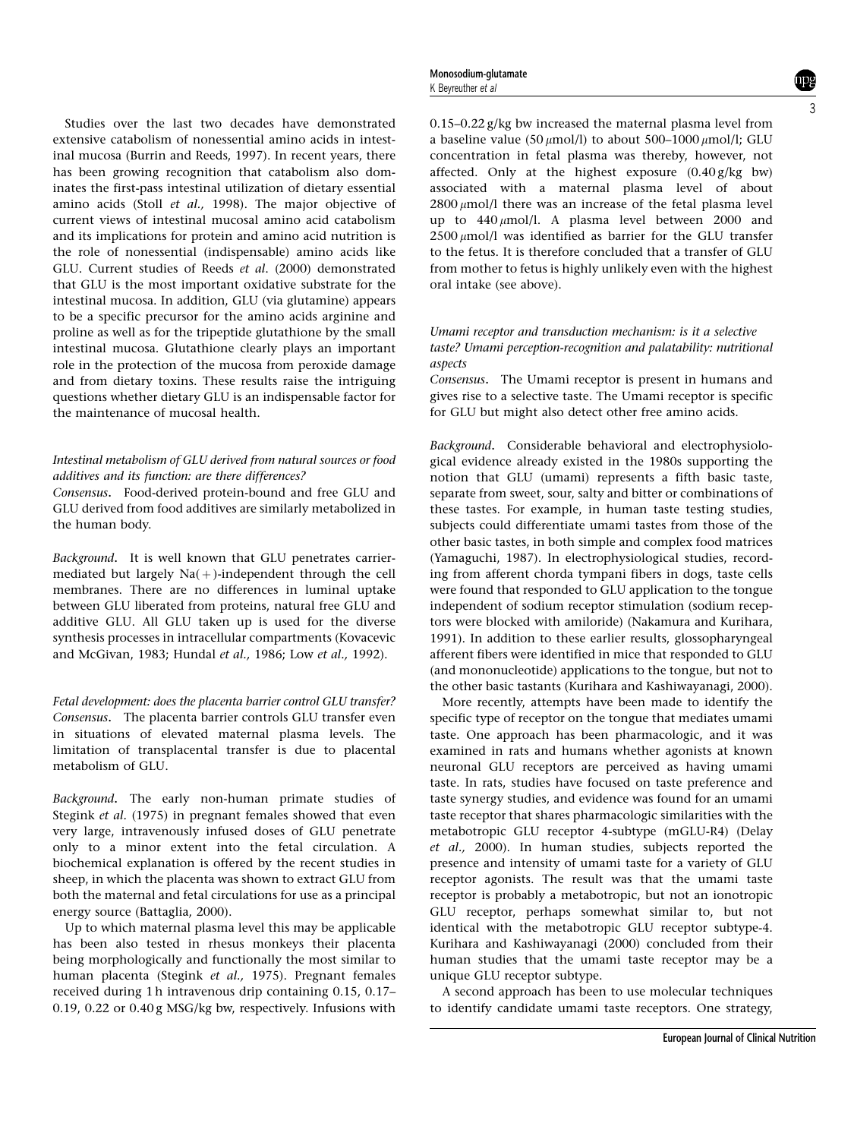Studies over the last two decades have demonstrated extensive catabolism of nonessential amino acids in intestinal mucosa (Burrin and Reeds, 1997). In recent years, there has been growing recognition that catabolism also dominates the first-pass intestinal utilization of dietary essential amino acids (Stoll et al., 1998). The major objective of current views of intestinal mucosal amino acid catabolism and its implications for protein and amino acid nutrition is the role of nonessential (indispensable) amino acids like GLU. Current studies of Reeds et al. (2000) demonstrated that GLU is the most important oxidative substrate for the intestinal mucosa. In addition, GLU (via glutamine) appears to be a specific precursor for the amino acids arginine and proline as well as for the tripeptide glutathione by the small intestinal mucosa. Glutathione clearly plays an important role in the protection of the mucosa from peroxide damage and from dietary toxins. These results raise the intriguing questions whether dietary GLU is an indispensable factor for the maintenance of mucosal health.

## Intestinal metabolism of GLU derived from natural sources or food additives and its function: are there differences?

Consensus. Food-derived protein-bound and free GLU and GLU derived from food additives are similarly metabolized in the human body.

Background. It is well known that GLU penetrates carriermediated but largely  $Na(+)$ -independent through the cell membranes. There are no differences in luminal uptake between GLU liberated from proteins, natural free GLU and additive GLU. All GLU taken up is used for the diverse synthesis processes in intracellular compartments (Kovacevic and McGivan, 1983; Hundal et al., 1986; Low et al., 1992).

Fetal development: does the placenta barrier control GLU transfer? Consensus. The placenta barrier controls GLU transfer even in situations of elevated maternal plasma levels. The limitation of transplacental transfer is due to placental metabolism of GLU.

Background. The early non-human primate studies of Stegink et al. (1975) in pregnant females showed that even very large, intravenously infused doses of GLU penetrate only to a minor extent into the fetal circulation. A biochemical explanation is offered by the recent studies in sheep, in which the placenta was shown to extract GLU from both the maternal and fetal circulations for use as a principal energy source (Battaglia, 2000).

Up to which maternal plasma level this may be applicable has been also tested in rhesus monkeys their placenta being morphologically and functionally the most similar to human placenta (Stegink et al., 1975). Pregnant females received during 1 h intravenous drip containing 0.15, 0.17– 0.19, 0.22 or 0.40 g MSG/kg bw, respectively. Infusions with 0.15–0.22 g/kg bw increased the maternal plasma level from a baseline value (50  $\mu$ mol/l) to about 500–1000  $\mu$ mol/l; GLU concentration in fetal plasma was thereby, however, not affected. Only at the highest exposure (0.40 g/kg bw) associated with a maternal plasma level of about  $2800 \mu$ mol/l there was an increase of the fetal plasma level up to  $440 \mu$ mol/l. A plasma level between 2000 and  $2500 \mu$ mol/l was identified as barrier for the GLU transfer to the fetus. It is therefore concluded that a transfer of GLU from mother to fetus is highly unlikely even with the highest oral intake (see above).

## Umami receptor and transduction mechanism: is it a selective taste? Umami perception-recognition and palatability: nutritional aspects

Consensus. The Umami receptor is present in humans and gives rise to a selective taste. The Umami receptor is specific for GLU but might also detect other free amino acids.

Background. Considerable behavioral and electrophysiological evidence already existed in the 1980s supporting the notion that GLU (umami) represents a fifth basic taste, separate from sweet, sour, salty and bitter or combinations of these tastes. For example, in human taste testing studies, subjects could differentiate umami tastes from those of the other basic tastes, in both simple and complex food matrices (Yamaguchi, 1987). In electrophysiological studies, recording from afferent chorda tympani fibers in dogs, taste cells were found that responded to GLU application to the tongue independent of sodium receptor stimulation (sodium receptors were blocked with amiloride) (Nakamura and Kurihara, 1991). In addition to these earlier results, glossopharyngeal afferent fibers were identified in mice that responded to GLU (and mononucleotide) applications to the tongue, but not to the other basic tastants (Kurihara and Kashiwayanagi, 2000).

More recently, attempts have been made to identify the specific type of receptor on the tongue that mediates umami taste. One approach has been pharmacologic, and it was examined in rats and humans whether agonists at known neuronal GLU receptors are perceived as having umami taste. In rats, studies have focused on taste preference and taste synergy studies, and evidence was found for an umami taste receptor that shares pharmacologic similarities with the metabotropic GLU receptor 4-subtype (mGLU-R4) (Delay et al., 2000). In human studies, subjects reported the presence and intensity of umami taste for a variety of GLU receptor agonists. The result was that the umami taste receptor is probably a metabotropic, but not an ionotropic GLU receptor, perhaps somewhat similar to, but not identical with the metabotropic GLU receptor subtype-4. Kurihara and Kashiwayanagi (2000) concluded from their human studies that the umami taste receptor may be a unique GLU receptor subtype.

A second approach has been to use molecular techniques to identify candidate umami taste receptors. One strategy,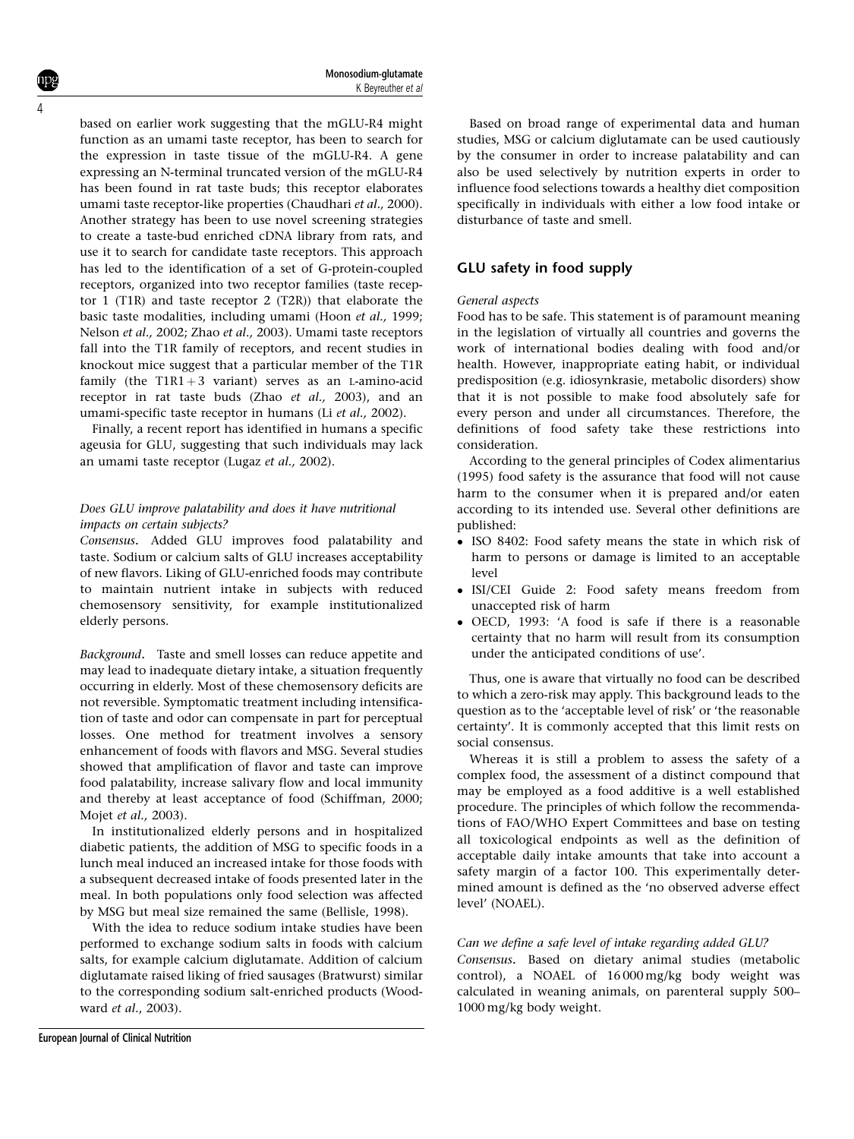based on earlier work suggesting that the mGLU-R4 might function as an umami taste receptor, has been to search for the expression in taste tissue of the mGLU-R4. A gene expressing an N-terminal truncated version of the mGLU-R4 has been found in rat taste buds; this receptor elaborates umami taste receptor-like properties (Chaudhari et al., 2000). Another strategy has been to use novel screening strategies to create a taste-bud enriched cDNA library from rats, and use it to search for candidate taste receptors. This approach has led to the identification of a set of G-protein-coupled receptors, organized into two receptor families (taste receptor 1 (T1R) and taste receptor 2 (T2R)) that elaborate the basic taste modalities, including umami (Hoon et al., 1999; Nelson et al., 2002; Zhao et al., 2003). Umami taste receptors fall into the T1R family of receptors, and recent studies in knockout mice suggest that a particular member of the T1R family (the  $T1R1 + 3$  variant) serves as an L-amino-acid receptor in rat taste buds (Zhao et al., 2003), and an umami-specific taste receptor in humans (Li et al., 2002).

Finally, a recent report has identified in humans a specific ageusia for GLU, suggesting that such individuals may lack an umami taste receptor (Lugaz et al., 2002).

## Does GLU improve palatability and does it have nutritional impacts on certain subjects?

Consensus. Added GLU improves food palatability and taste. Sodium or calcium salts of GLU increases acceptability of new flavors. Liking of GLU-enriched foods may contribute to maintain nutrient intake in subjects with reduced chemosensory sensitivity, for example institutionalized elderly persons.

Background. Taste and smell losses can reduce appetite and may lead to inadequate dietary intake, a situation frequently occurring in elderly. Most of these chemosensory deficits are not reversible. Symptomatic treatment including intensification of taste and odor can compensate in part for perceptual losses. One method for treatment involves a sensory enhancement of foods with flavors and MSG. Several studies showed that amplification of flavor and taste can improve food palatability, increase salivary flow and local immunity and thereby at least acceptance of food (Schiffman, 2000; Mojet et al., 2003).

In institutionalized elderly persons and in hospitalized diabetic patients, the addition of MSG to specific foods in a lunch meal induced an increased intake for those foods with a subsequent decreased intake of foods presented later in the meal. In both populations only food selection was affected by MSG but meal size remained the same (Bellisle, 1998).

With the idea to reduce sodium intake studies have been performed to exchange sodium salts in foods with calcium salts, for example calcium diglutamate. Addition of calcium diglutamate raised liking of fried sausages (Bratwurst) similar to the corresponding sodium salt-enriched products (Woodward et al., 2003).

Based on broad range of experimental data and human studies, MSG or calcium diglutamate can be used cautiously by the consumer in order to increase palatability and can also be used selectively by nutrition experts in order to influence food selections towards a healthy diet composition specifically in individuals with either a low food intake or disturbance of taste and smell.

## GLU safety in food supply

#### General aspects

Food has to be safe. This statement is of paramount meaning in the legislation of virtually all countries and governs the work of international bodies dealing with food and/or health. However, inappropriate eating habit, or individual predisposition (e.g. idiosynkrasie, metabolic disorders) show that it is not possible to make food absolutely safe for every person and under all circumstances. Therefore, the definitions of food safety take these restrictions into consideration.

According to the general principles of Codex alimentarius (1995) food safety is the assurance that food will not cause harm to the consumer when it is prepared and/or eaten according to its intended use. Several other definitions are published:

- ISO 8402: Food safety means the state in which risk of harm to persons or damage is limited to an acceptable level
- ISI/CEI Guide 2: Food safety means freedom from unaccepted risk of harm
- OECD, 1993: 'A food is safe if there is a reasonable certainty that no harm will result from its consumption under the anticipated conditions of use'.

Thus, one is aware that virtually no food can be described to which a zero-risk may apply. This background leads to the question as to the 'acceptable level of risk' or 'the reasonable certainty'. It is commonly accepted that this limit rests on social consensus.

Whereas it is still a problem to assess the safety of a complex food, the assessment of a distinct compound that may be employed as a food additive is a well established procedure. The principles of which follow the recommendations of FAO/WHO Expert Committees and base on testing all toxicological endpoints as well as the definition of acceptable daily intake amounts that take into account a safety margin of a factor 100. This experimentally determined amount is defined as the 'no observed adverse effect level' (NOAEL).

#### Can we define a safe level of intake regarding added GLU?

Consensus. Based on dietary animal studies (metabolic control), a NOAEL of 16 000 mg/kg body weight was calculated in weaning animals, on parenteral supply 500– 1000 mg/kg body weight.

4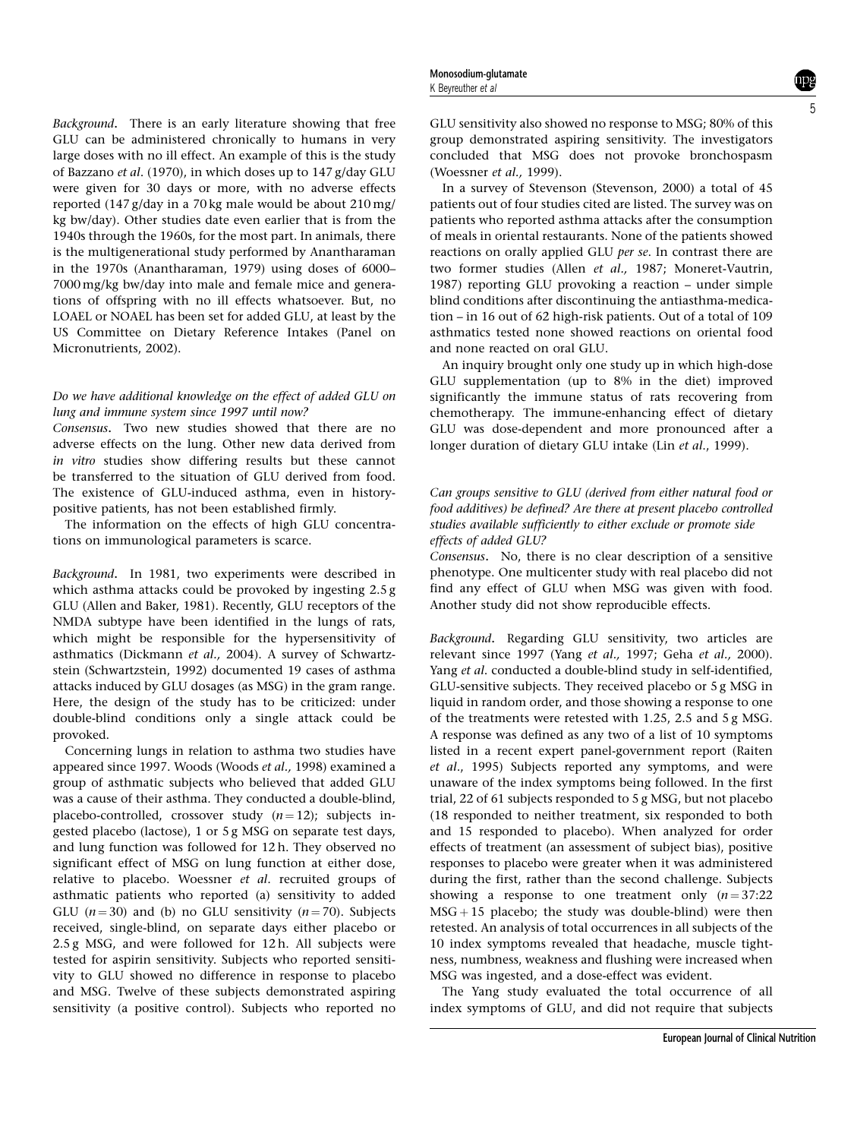Background. There is an early literature showing that free GLU can be administered chronically to humans in very large doses with no ill effect. An example of this is the study of Bazzano et al. (1970), in which doses up to 147 g/day GLU were given for 30 days or more, with no adverse effects reported (147 g/day in a 70 kg male would be about 210 mg/ kg bw/day). Other studies date even earlier that is from the 1940s through the 1960s, for the most part. In animals, there is the multigenerational study performed by Anantharaman in the 1970s (Anantharaman, 1979) using doses of 6000– 7000 mg/kg bw/day into male and female mice and generations of offspring with no ill effects whatsoever. But, no LOAEL or NOAEL has been set for added GLU, at least by the US Committee on Dietary Reference Intakes (Panel on Micronutrients, 2002).

## Do we have additional knowledge on the effect of added GLU on lung and immune system since 1997 until now?

Consensus. Two new studies showed that there are no adverse effects on the lung. Other new data derived from in vitro studies show differing results but these cannot be transferred to the situation of GLU derived from food. The existence of GLU-induced asthma, even in historypositive patients, has not been established firmly.

The information on the effects of high GLU concentrations on immunological parameters is scarce.

Background. In 1981, two experiments were described in which asthma attacks could be provoked by ingesting 2.5 g GLU (Allen and Baker, 1981). Recently, GLU receptors of the NMDA subtype have been identified in the lungs of rats, which might be responsible for the hypersensitivity of asthmatics (Dickmann et al., 2004). A survey of Schwartzstein (Schwartzstein, 1992) documented 19 cases of asthma attacks induced by GLU dosages (as MSG) in the gram range. Here, the design of the study has to be criticized: under double-blind conditions only a single attack could be provoked.

Concerning lungs in relation to asthma two studies have appeared since 1997. Woods (Woods et al., 1998) examined a group of asthmatic subjects who believed that added GLU was a cause of their asthma. They conducted a double-blind, placebo-controlled, crossover study  $(n = 12)$ ; subjects ingested placebo (lactose), 1 or 5 g MSG on separate test days, and lung function was followed for 12 h. They observed no significant effect of MSG on lung function at either dose, relative to placebo. Woessner et al. recruited groups of asthmatic patients who reported (a) sensitivity to added GLU  $(n = 30)$  and (b) no GLU sensitivity  $(n = 70)$ . Subjects received, single-blind, on separate days either placebo or 2.5 g MSG, and were followed for 12 h. All subjects were tested for aspirin sensitivity. Subjects who reported sensitivity to GLU showed no difference in response to placebo and MSG. Twelve of these subjects demonstrated aspiring sensitivity (a positive control). Subjects who reported no GLU sensitivity also showed no response to MSG; 80% of this group demonstrated aspiring sensitivity. The investigators concluded that MSG does not provoke bronchospasm (Woessner et al., 1999).

In a survey of Stevenson (Stevenson, 2000) a total of 45 patients out of four studies cited are listed. The survey was on patients who reported asthma attacks after the consumption of meals in oriental restaurants. None of the patients showed reactions on orally applied GLU per se. In contrast there are two former studies (Allen et al., 1987; Moneret-Vautrin, 1987) reporting GLU provoking a reaction – under simple blind conditions after discontinuing the antiasthma-medication – in 16 out of 62 high-risk patients. Out of a total of 109 asthmatics tested none showed reactions on oriental food and none reacted on oral GLU.

An inquiry brought only one study up in which high-dose GLU supplementation (up to 8% in the diet) improved significantly the immune status of rats recovering from chemotherapy. The immune-enhancing effect of dietary GLU was dose-dependent and more pronounced after a longer duration of dietary GLU intake (Lin et al., 1999).

## Can groups sensitive to GLU (derived from either natural food or food additives) be defined? Are there at present placebo controlled studies available sufficiently to either exclude or promote side effects of added GLU?

Consensus. No, there is no clear description of a sensitive phenotype. One multicenter study with real placebo did not find any effect of GLU when MSG was given with food. Another study did not show reproducible effects.

Background. Regarding GLU sensitivity, two articles are relevant since 1997 (Yang et al., 1997; Geha et al., 2000). Yang et al. conducted a double-blind study in self-identified, GLU-sensitive subjects. They received placebo or 5 g MSG in liquid in random order, and those showing a response to one of the treatments were retested with 1.25, 2.5 and 5 g MSG. A response was defined as any two of a list of 10 symptoms listed in a recent expert panel-government report (Raiten et al., 1995) Subjects reported any symptoms, and were unaware of the index symptoms being followed. In the first trial, 22 of 61 subjects responded to 5 g MSG, but not placebo (18 responded to neither treatment, six responded to both and 15 responded to placebo). When analyzed for order effects of treatment (an assessment of subject bias), positive responses to placebo were greater when it was administered during the first, rather than the second challenge. Subjects showing a response to one treatment only  $(n=37:22)$  $MSG + 15$  placebo; the study was double-blind) were then retested. An analysis of total occurrences in all subjects of the 10 index symptoms revealed that headache, muscle tightness, numbness, weakness and flushing were increased when MSG was ingested, and a dose-effect was evident.

The Yang study evaluated the total occurrence of all index symptoms of GLU, and did not require that subjects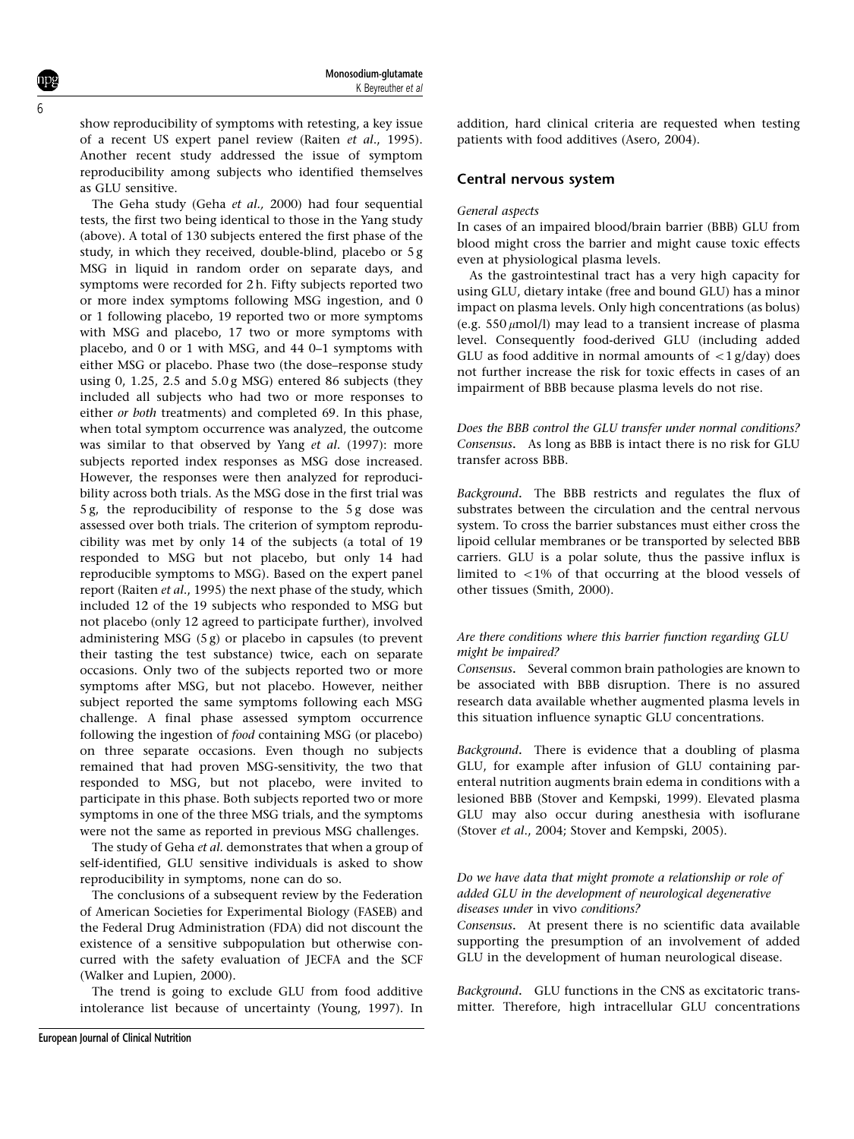show reproducibility of symptoms with retesting, a key issue of a recent US expert panel review (Raiten et al., 1995). Another recent study addressed the issue of symptom reproducibility among subjects who identified themselves as GLU sensitive.

The Geha study (Geha et al., 2000) had four sequential tests, the first two being identical to those in the Yang study (above). A total of 130 subjects entered the first phase of the study, in which they received, double-blind, placebo or 5 g MSG in liquid in random order on separate days, and symptoms were recorded for 2 h. Fifty subjects reported two or more index symptoms following MSG ingestion, and 0 or 1 following placebo, 19 reported two or more symptoms with MSG and placebo, 17 two or more symptoms with placebo, and 0 or 1 with MSG, and 44 0–1 symptoms with either MSG or placebo. Phase two (the dose–response study using 0, 1.25, 2.5 and  $5.0g$  MSG) entered 86 subjects (they included all subjects who had two or more responses to either or both treatments) and completed 69. In this phase, when total symptom occurrence was analyzed, the outcome was similar to that observed by Yang et al. (1997): more subjects reported index responses as MSG dose increased. However, the responses were then analyzed for reproducibility across both trials. As the MSG dose in the first trial was 5 g, the reproducibility of response to the 5 g dose was assessed over both trials. The criterion of symptom reproducibility was met by only 14 of the subjects (a total of 19 responded to MSG but not placebo, but only 14 had reproducible symptoms to MSG). Based on the expert panel report (Raiten et al., 1995) the next phase of the study, which included 12 of the 19 subjects who responded to MSG but not placebo (only 12 agreed to participate further), involved administering MSG (5 g) or placebo in capsules (to prevent their tasting the test substance) twice, each on separate occasions. Only two of the subjects reported two or more symptoms after MSG, but not placebo. However, neither subject reported the same symptoms following each MSG challenge. A final phase assessed symptom occurrence following the ingestion of food containing MSG (or placebo) on three separate occasions. Even though no subjects remained that had proven MSG-sensitivity, the two that responded to MSG, but not placebo, were invited to participate in this phase. Both subjects reported two or more symptoms in one of the three MSG trials, and the symptoms were not the same as reported in previous MSG challenges.

The study of Geha et al. demonstrates that when a group of self-identified, GLU sensitive individuals is asked to show reproducibility in symptoms, none can do so.

The conclusions of a subsequent review by the Federation of American Societies for Experimental Biology (FASEB) and the Federal Drug Administration (FDA) did not discount the existence of a sensitive subpopulation but otherwise concurred with the safety evaluation of JECFA and the SCF (Walker and Lupien, 2000).

The trend is going to exclude GLU from food additive intolerance list because of uncertainty (Young, 1997). In addition, hard clinical criteria are requested when testing patients with food additives (Asero, 2004).

## Central nervous system

#### General aspects

In cases of an impaired blood/brain barrier (BBB) GLU from blood might cross the barrier and might cause toxic effects even at physiological plasma levels.

As the gastrointestinal tract has a very high capacity for using GLU, dietary intake (free and bound GLU) has a minor impact on plasma levels. Only high concentrations (as bolus) (e.g.  $550 \mu$ mol/l) may lead to a transient increase of plasma level. Consequently food-derived GLU (including added GLU as food additive in normal amounts of  $\langle 1 g/day \rangle$  does not further increase the risk for toxic effects in cases of an impairment of BBB because plasma levels do not rise.

Does the BBB control the GLU transfer under normal conditions? Consensus. As long as BBB is intact there is no risk for GLU transfer across BBB.

Background. The BBB restricts and regulates the flux of substrates between the circulation and the central nervous system. To cross the barrier substances must either cross the lipoid cellular membranes or be transported by selected BBB carriers. GLU is a polar solute, thus the passive influx is limited to  $<1\%$  of that occurring at the blood vessels of other tissues (Smith, 2000).

## Are there conditions where this barrier function regarding GLU might be impaired?

Consensus. Several common brain pathologies are known to be associated with BBB disruption. There is no assured research data available whether augmented plasma levels in this situation influence synaptic GLU concentrations.

Background. There is evidence that a doubling of plasma GLU, for example after infusion of GLU containing parenteral nutrition augments brain edema in conditions with a lesioned BBB (Stover and Kempski, 1999). Elevated plasma GLU may also occur during anesthesia with isoflurane (Stover et al., 2004; Stover and Kempski, 2005).

#### Do we have data that might promote a relationship or role of added GLU in the development of neurological degenerative diseases under in vivo conditions?

Consensus. At present there is no scientific data available supporting the presumption of an involvement of added GLU in the development of human neurological disease.

Background. GLU functions in the CNS as excitatoric transmitter. Therefore, high intracellular GLU concentrations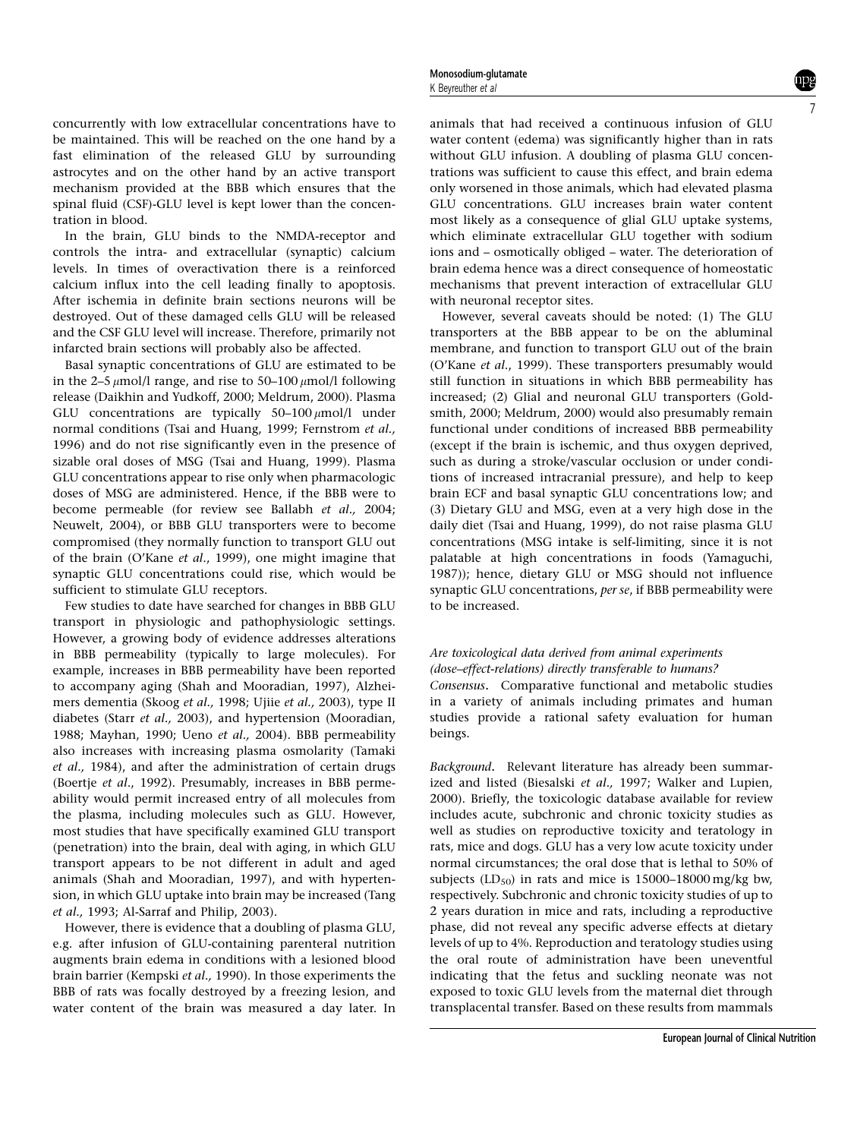concurrently with low extracellular concentrations have to be maintained. This will be reached on the one hand by a fast elimination of the released GLU by surrounding astrocytes and on the other hand by an active transport mechanism provided at the BBB which ensures that the spinal fluid (CSF)-GLU level is kept lower than the concentration in blood.

In the brain, GLU binds to the NMDA-receptor and controls the intra- and extracellular (synaptic) calcium levels. In times of overactivation there is a reinforced calcium influx into the cell leading finally to apoptosis. After ischemia in definite brain sections neurons will be destroyed. Out of these damaged cells GLU will be released and the CSF GLU level will increase. Therefore, primarily not infarcted brain sections will probably also be affected.

Basal synaptic concentrations of GLU are estimated to be in the 2–5  $\mu$ mol/l range, and rise to 50–100  $\mu$ mol/l following release (Daikhin and Yudkoff, 2000; Meldrum, 2000). Plasma GLU concentrations are typically  $50-100 \mu$ mol/l under normal conditions (Tsai and Huang, 1999; Fernstrom et al., 1996) and do not rise significantly even in the presence of sizable oral doses of MSG (Tsai and Huang, 1999). Plasma GLU concentrations appear to rise only when pharmacologic doses of MSG are administered. Hence, if the BBB were to become permeable (for review see Ballabh et al., 2004; Neuwelt, 2004), or BBB GLU transporters were to become compromised (they normally function to transport GLU out of the brain (O'Kane et al., 1999), one might imagine that synaptic GLU concentrations could rise, which would be sufficient to stimulate GLU receptors.

Few studies to date have searched for changes in BBB GLU transport in physiologic and pathophysiologic settings. However, a growing body of evidence addresses alterations in BBB permeability (typically to large molecules). For example, increases in BBB permeability have been reported to accompany aging (Shah and Mooradian, 1997), Alzheimers dementia (Skoog et al., 1998; Ujiie et al., 2003), type II diabetes (Starr et al., 2003), and hypertension (Mooradian, 1988; Mayhan, 1990; Ueno et al., 2004). BBB permeability also increases with increasing plasma osmolarity (Tamaki et al., 1984), and after the administration of certain drugs (Boertje et al., 1992). Presumably, increases in BBB permeability would permit increased entry of all molecules from the plasma, including molecules such as GLU. However, most studies that have specifically examined GLU transport (penetration) into the brain, deal with aging, in which GLU transport appears to be not different in adult and aged animals (Shah and Mooradian, 1997), and with hypertension, in which GLU uptake into brain may be increased (Tang et al., 1993; Al-Sarraf and Philip, 2003).

However, there is evidence that a doubling of plasma GLU, e.g. after infusion of GLU-containing parenteral nutrition augments brain edema in conditions with a lesioned blood brain barrier (Kempski et al., 1990). In those experiments the BBB of rats was focally destroyed by a freezing lesion, and water content of the brain was measured a day later. In

animals that had received a continuous infusion of GLU water content (edema) was significantly higher than in rats without GLU infusion. A doubling of plasma GLU concentrations was sufficient to cause this effect, and brain edema only worsened in those animals, which had elevated plasma GLU concentrations. GLU increases brain water content most likely as a consequence of glial GLU uptake systems, which eliminate extracellular GLU together with sodium ions and – osmotically obliged – water. The deterioration of brain edema hence was a direct consequence of homeostatic mechanisms that prevent interaction of extracellular GLU with neuronal receptor sites.

However, several caveats should be noted: (1) The GLU transporters at the BBB appear to be on the abluminal membrane, and function to transport GLU out of the brain (O'Kane et al., 1999). These transporters presumably would still function in situations in which BBB permeability has increased; (2) Glial and neuronal GLU transporters (Goldsmith, 2000; Meldrum, 2000) would also presumably remain functional under conditions of increased BBB permeability (except if the brain is ischemic, and thus oxygen deprived, such as during a stroke/vascular occlusion or under conditions of increased intracranial pressure), and help to keep brain ECF and basal synaptic GLU concentrations low; and (3) Dietary GLU and MSG, even at a very high dose in the daily diet (Tsai and Huang, 1999), do not raise plasma GLU concentrations (MSG intake is self-limiting, since it is not palatable at high concentrations in foods (Yamaguchi, 1987)); hence, dietary GLU or MSG should not influence synaptic GLU concentrations, per se, if BBB permeability were to be increased.

# Are toxicological data derived from animal experiments (dose–effect-relations) directly transferable to humans?

Consensus. Comparative functional and metabolic studies in a variety of animals including primates and human studies provide a rational safety evaluation for human beings.

Background. Relevant literature has already been summarized and listed (Biesalski et al., 1997; Walker and Lupien, 2000). Briefly, the toxicologic database available for review includes acute, subchronic and chronic toxicity studies as well as studies on reproductive toxicity and teratology in rats, mice and dogs. GLU has a very low acute toxicity under normal circumstances; the oral dose that is lethal to 50% of subjects ( $LD_{50}$ ) in rats and mice is 15000–18000 mg/kg bw, respectively. Subchronic and chronic toxicity studies of up to 2 years duration in mice and rats, including a reproductive phase, did not reveal any specific adverse effects at dietary levels of up to 4%. Reproduction and teratology studies using the oral route of administration have been uneventful indicating that the fetus and suckling neonate was not exposed to toxic GLU levels from the maternal diet through transplacental transfer. Based on these results from mammals

7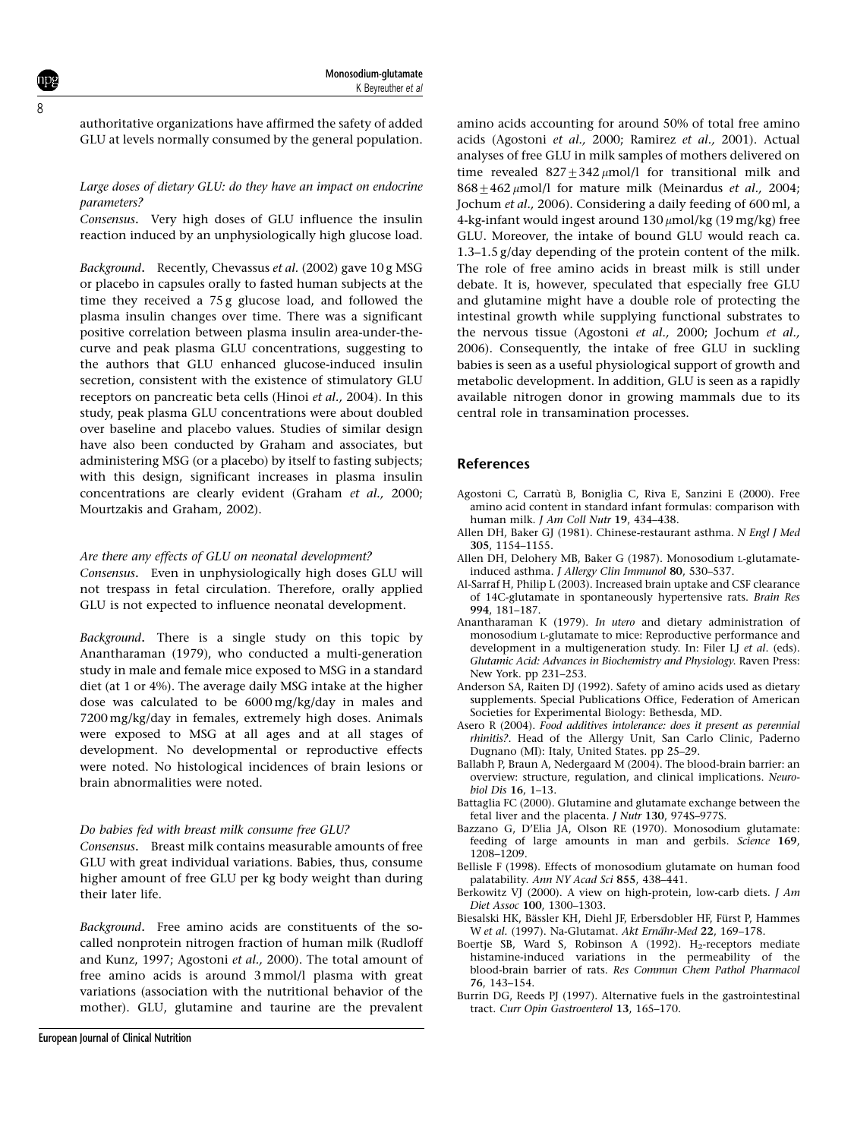8

authoritative organizations have affirmed the safety of added GLU at levels normally consumed by the general population.

#### Large doses of dietary GLU: do they have an impact on endocrine parameters?

Consensus. Very high doses of GLU influence the insulin reaction induced by an unphysiologically high glucose load.

Background. Recently, Chevassus et al. (2002) gave 10 g MSG or placebo in capsules orally to fasted human subjects at the time they received a 75 g glucose load, and followed the plasma insulin changes over time. There was a significant positive correlation between plasma insulin area-under-thecurve and peak plasma GLU concentrations, suggesting to the authors that GLU enhanced glucose-induced insulin secretion, consistent with the existence of stimulatory GLU receptors on pancreatic beta cells (Hinoi et al., 2004). In this study, peak plasma GLU concentrations were about doubled over baseline and placebo values. Studies of similar design have also been conducted by Graham and associates, but administering MSG (or a placebo) by itself to fasting subjects; with this design, significant increases in plasma insulin concentrations are clearly evident (Graham et al., 2000; Mourtzakis and Graham, 2002).

#### Are there any effects of GLU on neonatal development?

Consensus. Even in unphysiologically high doses GLU will not trespass in fetal circulation. Therefore, orally applied GLU is not expected to influence neonatal development.

Background. There is a single study on this topic by Anantharaman (1979), who conducted a multi-generation study in male and female mice exposed to MSG in a standard diet (at 1 or 4%). The average daily MSG intake at the higher dose was calculated to be 6000 mg/kg/day in males and 7200 mg/kg/day in females, extremely high doses. Animals were exposed to MSG at all ages and at all stages of development. No developmental or reproductive effects were noted. No histological incidences of brain lesions or brain abnormalities were noted.

#### Do babies fed with breast milk consume free GLU?

Consensus. Breast milk contains measurable amounts of free GLU with great individual variations. Babies, thus, consume higher amount of free GLU per kg body weight than during their later life.

Background. Free amino acids are constituents of the socalled nonprotein nitrogen fraction of human milk (Rudloff and Kunz, 1997; Agostoni et al., 2000). The total amount of free amino acids is around 3 mmol/l plasma with great variations (association with the nutritional behavior of the mother). GLU, glutamine and taurine are the prevalent

amino acids accounting for around 50% of total free amino acids (Agostoni et al., 2000; Ramirez et al., 2001). Actual analyses of free GLU in milk samples of mothers delivered on time revealed  $827 \pm 342 \mu$ mol/l for transitional milk and  $868+462 \mu$ mol/l for mature milk (Meinardus *et al.*, 2004; Jochum et al., 2006). Considering a daily feeding of 600 ml, a 4-kg-infant would ingest around  $130 \mu$ mol/kg (19 mg/kg) free GLU. Moreover, the intake of bound GLU would reach ca. 1.3–1.5 g/day depending of the protein content of the milk. The role of free amino acids in breast milk is still under debate. It is, however, speculated that especially free GLU and glutamine might have a double role of protecting the intestinal growth while supplying functional substrates to the nervous tissue (Agostoni et al., 2000; Jochum et al., 2006). Consequently, the intake of free GLU in suckling babies is seen as a useful physiological support of growth and metabolic development. In addition, GLU is seen as a rapidly available nitrogen donor in growing mammals due to its central role in transamination processes.

## **References**

- Agostoni C, Carratù B, Boniglia C, Riva E, Sanzini E (2000). Free amino acid content in standard infant formulas: comparison with human milk. J Am Coll Nutr 19, 434-438.
- Allen DH, Baker GJ (1981). Chinese-restaurant asthma. N Engl J Med 305, 1154–1155.
- Allen DH, Delohery MB, Baker G (1987). Monosodium L-glutamateinduced asthma. J Allergy Clin Immunol 80, 530–537.
- Al-Sarraf H, Philip L (2003). Increased brain uptake and CSF clearance of 14C-glutamate in spontaneously hypertensive rats. Brain Res 994, 181–187.
- Anantharaman K (1979). In utero and dietary administration of monosodium L-glutamate to mice: Reproductive performance and development in a multigeneration study. In: Filer LJ et al. (eds). Glutamic Acid: Advances in Biochemistry and Physiology. Raven Press: New York. pp 231–253.
- Anderson SA, Raiten DJ (1992). Safety of amino acids used as dietary supplements. Special Publications Office, Federation of American Societies for Experimental Biology: Bethesda, MD.
- Asero R (2004). Food additives intolerance: does it present as perennial rhinitis?. Head of the Allergy Unit, San Carlo Clinic, Paderno Dugnano (MI): Italy, United States. pp 25–29.
- Ballabh P, Braun A, Nedergaard M (2004). The blood-brain barrier: an overview: structure, regulation, and clinical implications. Neurobiol Dis 16, 1–13.
- Battaglia FC (2000). Glutamine and glutamate exchange between the fetal liver and the placenta. J Nutr 130, 974S–977S.
- Bazzano G, D'Elia JA, Olson RE (1970). Monosodium glutamate: feeding of large amounts in man and gerbils. Science 169, 1208–1209.
- Bellisle F (1998). Effects of monosodium glutamate on human food palatability. Ann NY Acad Sci 855, 438–441.
- Berkowitz VJ (2000). A view on high-protein, low-carb diets. *J Am* Diet Assoc 100, 1300–1303.
- Biesalski HK, Bässler KH, Diehl JF, Erbersdobler HF, Fürst P, Hammes W et al. (1997). Na-Glutamat. Akt Ernähr-Med 22, 169-178.
- Boertje SB, Ward S, Robinson A (1992). H<sub>2</sub>-receptors mediate histamine-induced variations in the permeability of the blood-brain barrier of rats. Res Commun Chem Pathol Pharmacol 76, 143–154.
- Burrin DG, Reeds PJ (1997). Alternative fuels in the gastrointestinal tract. Curr Opin Gastroenterol 13, 165–170.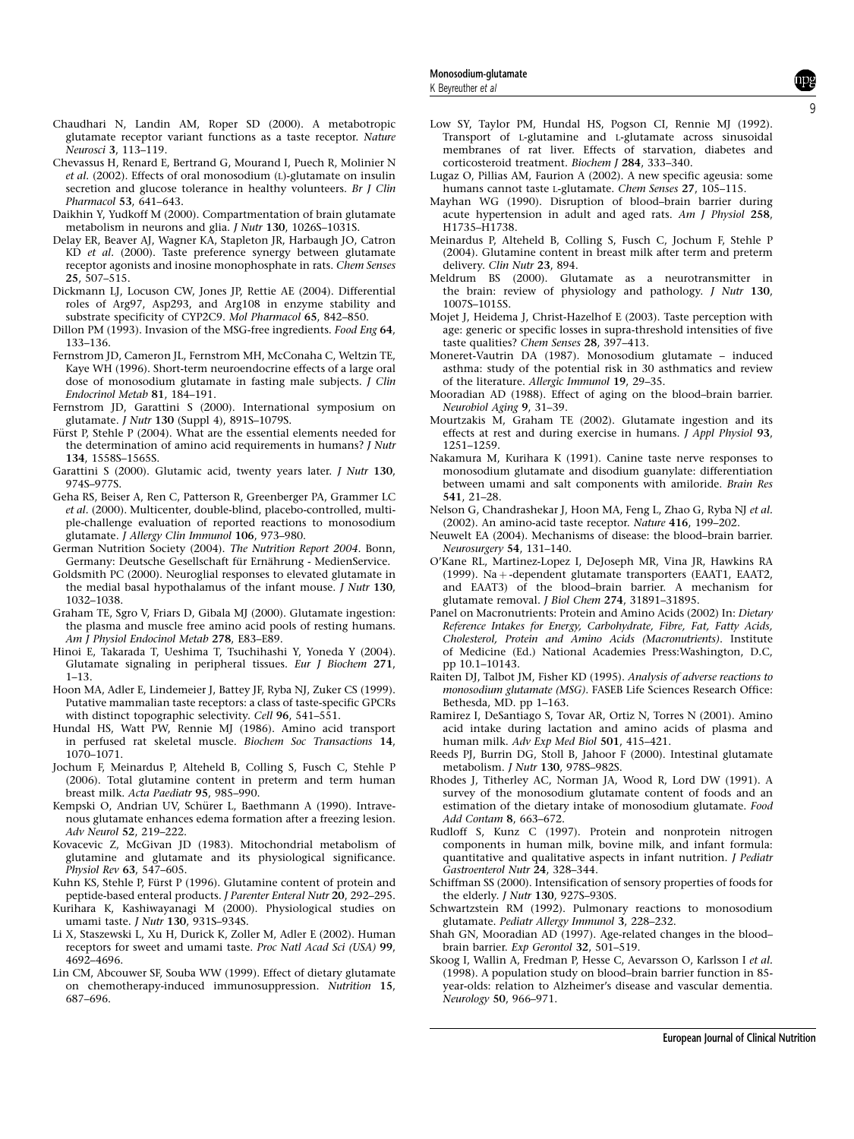- Chaudhari N, Landin AM, Roper SD (2000). A metabotropic glutamate receptor variant functions as a taste receptor. Nature Neurosci 3, 113–119.
- Chevassus H, Renard E, Bertrand G, Mourand I, Puech R, Molinier N et al. (2002). Effects of oral monosodium (L)-glutamate on insulin secretion and glucose tolerance in healthy volunteers. Br J Clin Pharmacol 53, 641–643.
- Daikhin Y, Yudkoff M (2000). Compartmentation of brain glutamate metabolism in neurons and glia. J Nutr 130, 1026S–1031S.
- Delay ER, Beaver AJ, Wagner KA, Stapleton JR, Harbaugh JO, Catron KD et al. (2000). Taste preference synergy between glutamate receptor agonists and inosine monophosphate in rats. Chem Senses 25, 507–515.
- Dickmann LJ, Locuson CW, Jones JP, Rettie AE (2004). Differential roles of Arg97, Asp293, and Arg108 in enzyme stability and substrate specificity of CYP2C9. Mol Pharmacol 65, 842–850.
- Dillon PM (1993). Invasion of the MSG-free ingredients. Food Eng 64, 133–136.
- Fernstrom JD, Cameron JL, Fernstrom MH, McConaha C, Weltzin TE, Kaye WH (1996). Short-term neuroendocrine effects of a large oral dose of monosodium glutamate in fasting male subjects. J Clin Endocrinol Metab 81, 184–191.
- Fernstrom JD, Garattini S (2000). International symposium on glutamate. J Nutr 130 (Suppl 4), 891S–1079S.
- Fürst P, Stehle P (2004). What are the essential elements needed for the determination of amino acid requirements in humans? J Nutr 134, 1558S–1565S.
- Garattini S (2000). Glutamic acid, twenty years later. J Nutr 130, 974S–977S.
- Geha RS, Beiser A, Ren C, Patterson R, Greenberger PA, Grammer LC et al. (2000). Multicenter, double-blind, placebo-controlled, multiple-challenge evaluation of reported reactions to monosodium glutamate. J Allergy Clin Immunol 106, 973–980.
- German Nutrition Society (2004). The Nutrition Report 2004. Bonn, Germany: Deutsche Gesellschaft für Ernährung - MedienService.
- Goldsmith PC (2000). Neuroglial responses to elevated glutamate in the medial basal hypothalamus of the infant mouse. J Nutr 130, 1032–1038.
- Graham TE, Sgro V, Friars D, Gibala MJ (2000). Glutamate ingestion: the plasma and muscle free amino acid pools of resting humans. Am I Physiol Endocinol Metab 278, E83-E89.
- Hinoi E, Takarada T, Ueshima T, Tsuchihashi Y, Yoneda Y (2004). Glutamate signaling in peripheral tissues. Eur J Biochem 271, 1–13.
- Hoon MA, Adler E, Lindemeier J, Battey JF, Ryba NJ, Zuker CS (1999). Putative mammalian taste receptors: a class of taste-specific GPCRs with distinct topographic selectivity. Cell 96, 541–551.
- Hundal HS, Watt PW, Rennie MJ (1986). Amino acid transport in perfused rat skeletal muscle. Biochem Soc Transactions 14, 1070–1071.
- Jochum F, Meinardus P, Alteheld B, Colling S, Fusch C, Stehle P (2006). Total glutamine content in preterm and term human breast milk. Acta Paediatr 95, 985–990.
- Kempski O, Andrian UV, Schürer L, Baethmann A (1990). Intravenous glutamate enhances edema formation after a freezing lesion. Adv Neurol 52, 219–222.
- Kovacevic Z, McGivan JD (1983). Mitochondrial metabolism of glutamine and glutamate and its physiological significance. Physiol Rev 63, 547–605.
- Kuhn KS, Stehle P, Fürst P (1996). Glutamine content of protein and peptide-based enteral products. J Parenter Enteral Nutr 20, 292–295.
- Kurihara K, Kashiwayanagi M (2000). Physiological studies on umami taste. J Nutr 130, 931S–934S.
- Li X, Staszewski L, Xu H, Durick K, Zoller M, Adler E (2002). Human receptors for sweet and umami taste. Proc Natl Acad Sci (USA) 99, 4692–4696.
- Lin CM, Abcouwer SF, Souba WW (1999). Effect of dietary glutamate on chemotherapy-induced immunosuppression. Nutrition 15, 687–696.
- Low SY, Taylor PM, Hundal HS, Pogson CI, Rennie MJ (1992). Transport of L-glutamine and L-glutamate across sinusoidal membranes of rat liver. Effects of starvation, diabetes and corticosteroid treatment. Biochem J 284, 333–340.
- Lugaz O, Pillias AM, Faurion A (2002). A new specific ageusia: some humans cannot taste L-glutamate. Chem Senses 27, 105–115.
- Mayhan WG (1990). Disruption of blood–brain barrier during acute hypertension in adult and aged rats. Am J Physiol 258, H1735–H1738.
- Meinardus P, Alteheld B, Colling S, Fusch C, Jochum F, Stehle P (2004). Glutamine content in breast milk after term and preterm delivery. Clin Nutr 23, 894.
- Meldrum BS (2000). Glutamate as a neurotransmitter in the brain: review of physiology and pathology. J Nutr 130, 1007S–1015S.
- Mojet J, Heidema J, Christ-Hazelhof E (2003). Taste perception with age: generic or specific losses in supra-threshold intensities of five taste qualities? Chem Senses 28, 397–413.
- Moneret-Vautrin DA (1987). Monosodium glutamate induced asthma: study of the potential risk in 30 asthmatics and review of the literature. Allergic Immunol 19, 29–35.
- Mooradian AD (1988). Effect of aging on the blood–brain barrier. Neurobiol Aging 9, 31–39.
- Mourtzakis M, Graham TE (2002). Glutamate ingestion and its effects at rest and during exercise in humans. J Appl Physiol 93, 1251–1259.
- Nakamura M, Kurihara K (1991). Canine taste nerve responses to monosodium glutamate and disodium guanylate: differentiation between umami and salt components with amiloride. Brain Res 541, 21–28.
- Nelson G, Chandrashekar J, Hoon MA, Feng L, Zhao G, Ryba NJ et al. (2002). An amino-acid taste receptor. Nature 416, 199–202.
- Neuwelt EA (2004). Mechanisms of disease: the blood–brain barrier. Neurosurgery 54, 131–140.
- O'Kane RL, Martinez-Lopez I, DeJoseph MR, Vina JR, Hawkins RA (1999). Na +-dependent glutamate transporters (EAAT1, EAAT2, and EAAT3) of the blood–brain barrier. A mechanism for glutamate removal. J Biol Chem 274, 31891–31895.
- Panel on Macronutrients: Protein and Amino Acids (2002) In: Dietary Reference Intakes for Energy, Carbohydrate, Fibre, Fat, Fatty Acids, Cholesterol, Protein and Amino Acids (Macronutrients). Institute of Medicine (Ed.) National Academies Press:Washington, D.C, pp 10.1–10143.
- Raiten DJ, Talbot JM, Fisher KD (1995). Analysis of adverse reactions to monosodium glutamate (MSG). FASEB Life Sciences Research Office: Bethesda, MD. pp 1–163.
- Ramirez I, DeSantiago S, Tovar AR, Ortiz N, Torres N (2001). Amino acid intake during lactation and amino acids of plasma and human milk. Adv Exp Med Biol 501, 415–421.
- Reeds PJ, Burrin DG, Stoll B, Jahoor F (2000). Intestinal glutamate metabolism. J Nutr 130, 978S–982S.
- Rhodes J, Titherley AC, Norman JA, Wood R, Lord DW (1991). A survey of the monosodium glutamate content of foods and an estimation of the dietary intake of monosodium glutamate. Food Add Contam 8, 663–672.
- Rudloff S, Kunz C (1997). Protein and nonprotein nitrogen components in human milk, bovine milk, and infant formula: quantitative and qualitative aspects in infant nutrition. J Pediatr Gastroenterol Nutr 24, 328–344.
- Schiffman SS (2000). Intensification of sensory properties of foods for the elderly. J Nutr 130, 927S–930S.
- Schwartzstein RM (1992). Pulmonary reactions to monosodium glutamate. Pediatr Allergy Immunol 3, 228–232.
- Shah GN, Mooradian AD  $(1997)$ . Age-related changes in the blood– brain barrier. Exp Gerontol 32, 501–519.
- Skoog I, Wallin A, Fredman P, Hesse C, Aevarsson O, Karlsson I et al. (1998). A population study on blood–brain barrier function in 85 year-olds: relation to Alzheimer's disease and vascular dementia. Neurology 50, 966–971.